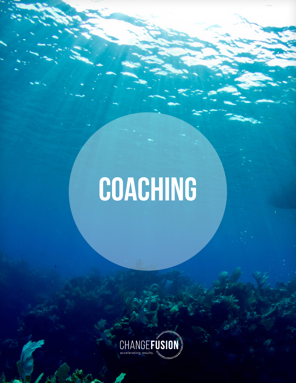# **coaching**

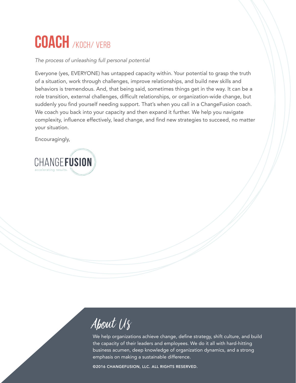### **Coach** /koch/ verb

#### *The process of unleashing full personal potential*

Everyone (yes, EVERYONE) has untapped capacity within. Your potential to grasp the truth of a situation, work through challenges, improve relationships, and build new skills and behaviors is tremendous. And, that being said, sometimes things get in the way. It can be a role transition, external challenges, difficult relationships, or organization-wide change, but suddenly you find yourself needing support. That's when you call in a ChangeFusion coach. We coach you back into your capacity and then expand it further. We help you navigate complexity, influence effectively, lead change, and find new strategies to succeed, no matter your situation.

Encouragingly,



About Us

We help organizations achieve change, define strategy, shift culture, and build the capacity of their leaders and employees. We do it all with hard-hitting business acumen, deep knowledge of organization dynamics, and a strong emphasis on making a sustainable difference.

©2016 CHANGEFUSION, LLC. ALL RIGHTS RESERVED.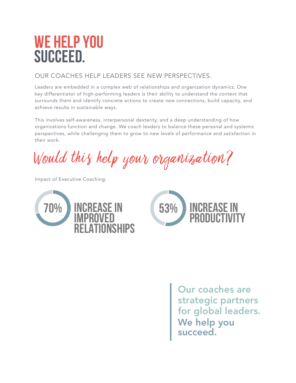### **WE HELP YOU SUCCEED.**

#### OUR COACHES HELP LEADERS SEE NEW PERSPECTIVES.

Leaders are embedded in a complex web of relationships and organization dynamics. One key differentiator of high-performing leaders is their ability to understand the context that surrounds them and identify concrete actions to create new connections, build capacity, and achieve results in sustainable ways.

This involves self-awareness, interpersonal dexterity, and a deep understanding of how organizations function and change. We coach leaders to balance these personal and systemic perspectives, while challenging them to grow to new levels of performance and satisfaction in their work.

Would this help your organization?

Impact of Executive Coaching:





Our coaches are strategic partners for global leaders. We help you succeed.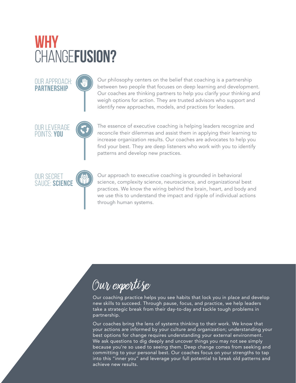### **WHY**  CHANGE**FUSION?**

OUR APPROACH: **PARTNERSHIP**

OUR LEVERAGE POINTS: **YOU**

OUR SECRET SAUCE: **SCIENCE** Our philosophy centers on the belief that coaching is a partnership between two people that focuses on deep learning and development. Our coaches are thinking partners to help you clarify your thinking and weigh options for action. They are trusted advisors who support and identify new approaches, models, and practices for leaders.

The essence of executive coaching is helping leaders recognize and reconcile their dilemmas and assist them in applying their learning to increase organization results. Our coaches are advocates to help you find your best. They are deep listeners who work with you to identify patterns and develop new practices.

Our approach to executive coaching is grounded in behavioral science, complexity science, neuroscience, and organizational best practices. We know the wiring behind the brain, heart, and body and we use this to understand the impact and ripple of individual actions through human systems.

### $\overline{\mathcal{O}uv}$  expertise

Our coaching practice helps you see habits that lock you in place and develop new skills to succeed. Through pause, focus, and practice, we help leaders take a strategic break from their day-to-day and tackle tough problems in partnership.

©2015 CHANGEFUSION, LLC. ALL RIGHTS RESERVED. Our coaches bring the lens of systems thinking to their work. We know that your actions are informed by your culture and organization; understanding your best options for change requires understanding your external environment. We ask questions to dig deeply and uncover things you may not see simply because you're so used to seeing them. Deep change comes from seeking and committing to your personal best. Our coaches focus on your strengths to tap into this "inner you" and leverage your full potential to break old patterns and achieve new results.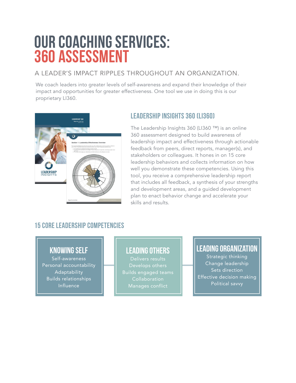### **OUR COACHING SERVICES: 360 ASSESSMENT**

#### A LEADER'S IMPACT RIPPLES THROUGHOUT AN ORGANIZATION.

We coach leaders into greater levels of self-awareness and expand their knowledge of their impact and opportunities for greater effectiveness. One tool we use in doing this is our proprietary LI360.



#### **Leadership insights 360 (li360)**

The Leadership Insights 360 (LI360 ™) is an online 360 assessment designed to build awareness of leadership impact and effectiveness through actionable feedback from peers, direct reports, manager(s), and stakeholders or colleagues. It hones in on 15 core leadership behaviors and collects information on how well you demonstrate these competencies. Using this tool, you receive a comprehensive leadership report that includes all feedback, a synthesis of your strengths and development areas, and a guided development plan to enact behavior change and accelerate your skills and results.

#### **15 core leadership competencies**

#### **knowing self**

Self-awareness Personal accountability Adaptability Builds relationships Influence

#### **leading others**

Delivers results Builds engaged teams

#### **leading organization**

Strategic thinking Change leadership Sets direction **Effective decision making** Political savvy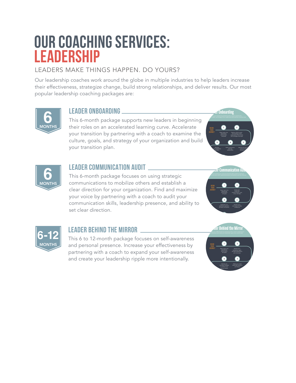### **OUR COACHING SERVICES: LEADERSHIP**

#### LEADERS MAKE THINGS HAPPEN. DO YOURS?

Our leadership coaches work around the globe in multiple industries to help leaders increase their effectiveness, strategize change, build strong relationships, and deliver results. Our most popular leadership coaching packages are:



#### **LEADER ONBOARDING**

This 6-month package supports new leaders in beginning their roles on an accelerated learning curve. Accelerate your transition by partnering with a coach to examine the culture, goals, and strategy of your organization and build your transition plan.





#### **leadER COMMUNICATION AUDIT**

This 6-month package focuses on using strategic communications to mobilize others and establish a clear direction for your organization. Find and maximize your voice by partnering with a coach to audit your communication skills, leadership presence, and ability to set clear direction.





#### **LEADER BEHIND THE MIRROR**

This 6 to 12-month package focuses on self-awareness and personal presence. Increase your effectiveness by partnering with a coach to expand your self-awareness and create your leadership ripple more intentionally.

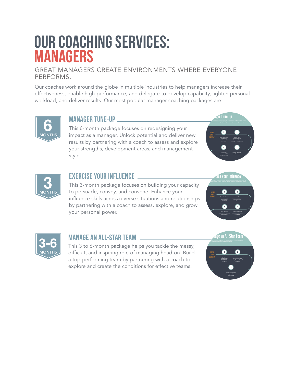### **OUR COACHING SERVICES: MANAGERS**

#### GREAT MANAGERS CREATE ENVIRONMENTS WHERE EVERYONE PERFORMS.

Our coaches work around the globe in multiple industries to help managers increase their effectiveness, enable high-performance, and delegate to develop capability, lighten personal workload, and deliver results. Our most popular manager coaching packages are:



#### **MANAGER TUNE-UP**

This 6-month package focuses on redesigning your impact as a manager. Unlock potential and deliver new results by partnering with a coach to assess and explore your strengths, development areas, and management style.





#### **EXERCISE YOUR INFLUENCE**

This 3-month package focuses on building your capacity to persuade, convey, and convene. Enhance your influence skills across diverse situations and relationships by partnering with a coach to assess, explore, and grow your personal power.





#### **MANAGE AN ALL-STAR TEAM**

This 3 to 6-month package helps you tackle the messy, difficult, and inspiring role of managing head-on. Build a top-performing team by partnering with a coach to explore and create the conditions for effective teams.

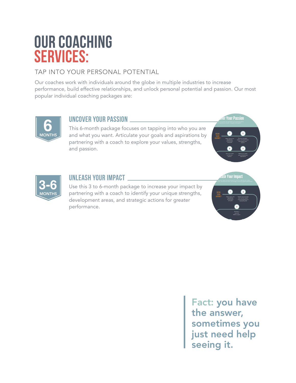### **OUR COACHING SERVICES:**

#### TAP INTO YOUR PERSONAL POTENTIAL

Our coaches work with individuals around the globe in multiple industries to increase performance, build effective relationships, and unlock personal potential and passion. Our most popular individual coaching packages are:



#### **UNCOVER YOUR PASSION**

This 6-month package focuses on tapping into who you are and what you want. Articulate your goals and aspirations by partnering with a coach to explore your values, strengths, and passion.





#### **UNLEASH YOUR IMPACT**

Use this 3 to 6-month package to increase your impact by partnering with a coach to identify your unique strengths, development areas, and strategic actions for greater performance.



Fact: you have the answer, sometimes you just need help seeing it.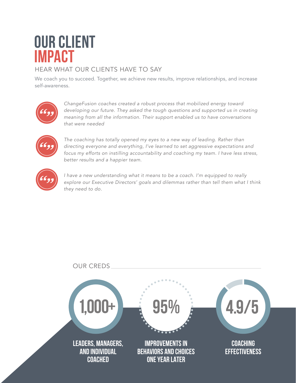### **OUR CLIENT IMPACT**

#### HEAR WHAT OUR CLIENTS HAVE TO SAY

We coach you to succeed. Together, we achieve new results, improve relationships, and increase self-awareness.



*ChangeFusion coaches created a robust process that mobilized energy toward developing our future. They asked the tough questions and supported us in creating meaning from all the information. Their support enabled us to have conversations that were needed*



The coaching has totally opened my eyes to a new way of leading. Rather than *directing everyone and everything, I've learned to set aggressive expectations and focus my efforts on instilling accountability and coaching my team. I have less stress, better results and a happier team.*



*I have a new understanding what it means to be a coach. I'm equipped to really explore our Executive Directors' goals and dilemmas rather than tell them what I think they need to do.*